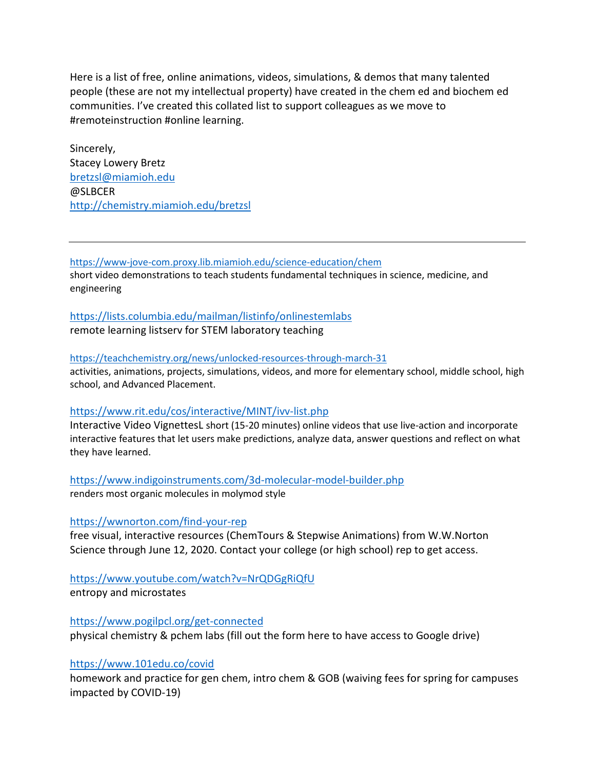Here is a list of free, online animations, videos, simulations, & demos that many talented people (these are not my intellectual property) have created in the chem ed and biochem ed communities. I've created this collated list to support colleagues as we move to #remoteinstruction #online learning.

Sincerely, Stacey Lowery Bretz [bretzsl@miamioh.edu](mailto:bretzsl@miamioh.edu) @SLBCER <http://chemistry.miamioh.edu/bretzsl>

<https://www-jove-com.proxy.lib.miamioh.edu/science-education/chem>

short video demonstrations to teach students fundamental techniques in science, medicine, and engineering

#### <https://lists.columbia.edu/mailman/listinfo/onlinestemlabs>

remote learning listserv for STEM laboratory teaching

#### <https://teachchemistry.org/news/unlocked-resources-through-march-31>

activities, animations, projects, simulations, videos, and more for elementary school, middle school, high school, and Advanced Placement.

#### <https://www.rit.edu/cos/interactive/MINT/ivv-list.php>

Interactive Video VignettesL short (15-20 minutes) online videos that use live-action and incorporate interactive features that let users make predictions, analyze data, answer questions and reflect on what they have learned.

<https://www.indigoinstruments.com/3d-molecular-model-builder.php>

renders most organic molecules in molymod style

#### <https://wwnorton.com/find-your-rep>

free visual, interactive resources (ChemTours & Stepwise Animations) from W.W.Norton Science through June 12, 2020. Contact your college (or high school) rep to get access.

### <https://www.youtube.com/watch?v=NrQDGgRiQfU>

entropy and microstates

<https://www.pogilpcl.org/get-connected> physical chemistry & pchem labs (fill out the form here to have access to Google drive)

#### <https://www.101edu.co/covid>

homework and practice for gen chem, intro chem & GOB (waiving fees for spring for campuses impacted by COVID-19)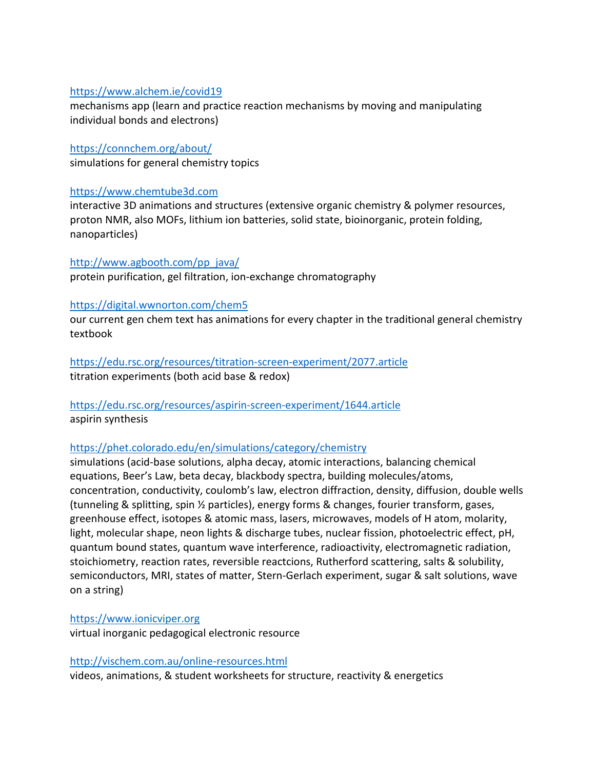### <https://www.alchem.ie/covid19>

mechanisms app (learn and practice reaction mechanisms by moving and manipulating individual bonds and electrons)

<https://connchem.org/about/> simulations for general chemistry topics

### [https://www.chemtube3d.com](https://www.chemtube3d.com/)

interactive 3D animations and structures (extensive organic chemistry & polymer resources, proton NMR, also MOFs, lithium ion batteries, solid state, bioinorganic, protein folding, nanoparticles)

#### [http://www.agbooth.com/pp\\_java/](http://www.agbooth.com/pp_java/)

protein purification, gel filtration, ion-exchange chromatography

#### <https://digital.wwnorton.com/chem5>

our current gen chem text has animations for every chapter in the traditional general chemistry textbook

<https://edu.rsc.org/resources/titration-screen-experiment/2077.article> titration experiments (both acid base & redox)

# <https://edu.rsc.org/resources/aspirin-screen-experiment/1644.article> aspirin synthesis

### <https://phet.colorado.edu/en/simulations/category/chemistry>

simulations (acid-base solutions, alpha decay, atomic interactions, balancing chemical equations, Beer's Law, beta decay, blackbody spectra, building molecules/atoms, concentration, conductivity, coulomb's law, electron diffraction, density, diffusion, double wells (tunneling & splitting, spin ½ particles), energy forms & changes, fourier transform, gases, greenhouse effect, isotopes & atomic mass, lasers, microwaves, models of H atom, molarity, light, molecular shape, neon lights & discharge tubes, nuclear fission, photoelectric effect, pH, quantum bound states, quantum wave interference, radioactivity, electromagnetic radiation, stoichiometry, reaction rates, reversible reactcions, Rutherford scattering, salts & solubility, semiconductors, MRI, states of matter, Stern-Gerlach experiment, sugar & salt solutions, wave on a string)

### [https://www.ionicviper.org](https://www.ionicviper.org/)

virtual inorganic pedagogical electronic resource

#### <http://vischem.com.au/online-resources.html>

videos, animations, & student worksheets for structure, reactivity & energetics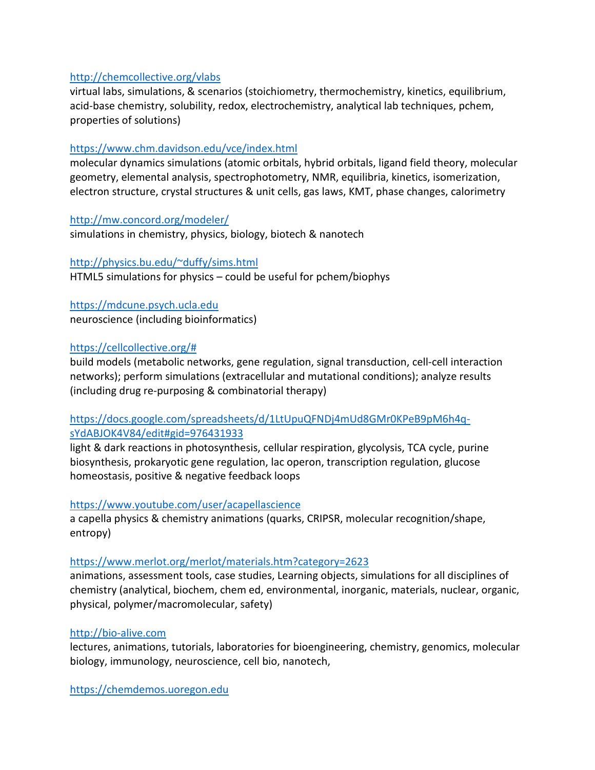# <http://chemcollective.org/vlabs>

virtual labs, simulations, & scenarios (stoichiometry, thermochemistry, kinetics, equilibrium, acid-base chemistry, solubility, redox, electrochemistry, analytical lab techniques, pchem, properties of solutions)

# <https://www.chm.davidson.edu/vce/index.html>

molecular dynamics simulations (atomic orbitals, hybrid orbitals, ligand field theory, molecular geometry, elemental analysis, spectrophotometry, NMR, equilibria, kinetics, isomerization, electron structure, crystal structures & unit cells, gas laws, KMT, phase changes, calorimetry

# <http://mw.concord.org/modeler/>

simulations in chemistry, physics, biology, biotech & nanotech

### [http://physics.bu.edu/~duffy/sims.html](http://physics.bu.edu/%7Eduffy/sims.html)

HTML5 simulations for physics – could be useful for pchem/biophys

[https://mdcune.psych.ucla.edu](https://mdcune.psych.ucla.edu/) neuroscience (including bioinformatics)

# [https://cellcollective.org/#](https://cellcollective.org/)

build models (metabolic networks, gene regulation, signal transduction, cell-cell interaction networks); perform simulations (extracellular and mutational conditions); analyze results (including drug re-purposing & combinatorial therapy)

# [https://docs.google.com/spreadsheets/d/1LtUpuQFNDj4mUd8GMr0KPeB9pM6h4q](https://docs.google.com/spreadsheets/d/1LtUpuQFNDj4mUd8GMr0KPeB9pM6h4q-sYdABJOK4V84/edit#gid=976431933)[sYdABJOK4V84/edit#gid=976431933](https://docs.google.com/spreadsheets/d/1LtUpuQFNDj4mUd8GMr0KPeB9pM6h4q-sYdABJOK4V84/edit#gid=976431933)

light & dark reactions in photosynthesis, cellular respiration, glycolysis, TCA cycle, purine biosynthesis, prokaryotic gene regulation, lac operon, transcription regulation, glucose homeostasis, positive & negative feedback loops

### <https://www.youtube.com/user/acapellascience>

a capella physics & chemistry animations (quarks, CRIPSR, molecular recognition/shape, entropy)

# <https://www.merlot.org/merlot/materials.htm?category=2623>

animations, assessment tools, case studies, Learning objects, simulations for all disciplines of chemistry (analytical, biochem, chem ed, environmental, inorganic, materials, nuclear, organic, physical, polymer/macromolecular, safety)

# [http://bio-alive.com](http://bio-alive.com/)

lectures, animations, tutorials, laboratories for bioengineering, chemistry, genomics, molecular biology, immunology, neuroscience, cell bio, nanotech,

[https://chemdemos.uoregon.edu](https://chemdemos.uoregon.edu/)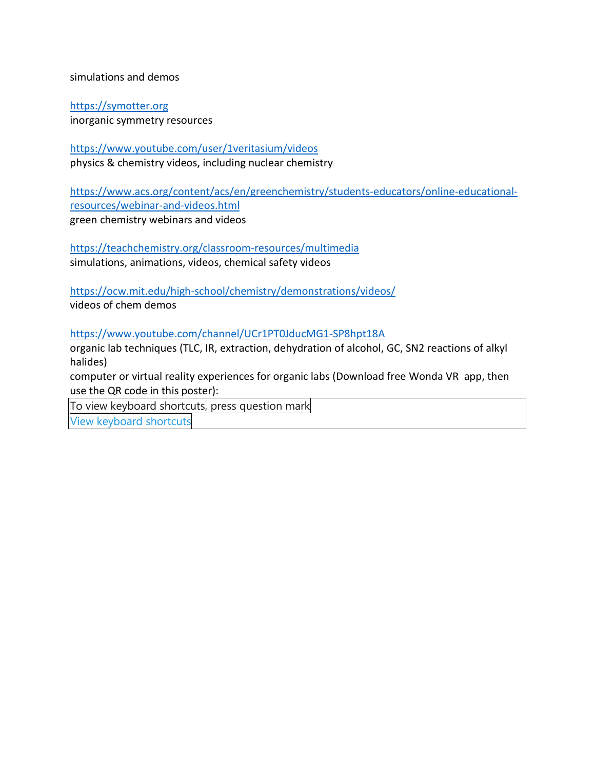simulations and demos

[https://symotter.org](https://symotter.org/) inorganic symmetry resources

<https://www.youtube.com/user/1veritasium/videos> physics & chemistry videos, including nuclear chemistry

[https://www.acs.org/content/acs/en/greenchemistry/students-educators/online-educational](https://www.acs.org/content/acs/en/greenchemistry/students-educators/online-educational-resources/webinar-and-videos.html)[resources/webinar-and-videos.html](https://www.acs.org/content/acs/en/greenchemistry/students-educators/online-educational-resources/webinar-and-videos.html) green chemistry webinars and videos

<https://teachchemistry.org/classroom-resources/multimedia> simulations, animations, videos, chemical safety videos

<https://ocw.mit.edu/high-school/chemistry/demonstrations/videos/> videos of chem demos

<https://www.youtube.com/channel/UCr1PT0JducMG1-SP8hpt18A>

organic lab techniques (TLC, IR, extraction, dehydration of alcohol, GC, SN2 reactions of alkyl halides)

computer or virtual reality experiences for organic labs (Download free Wonda VR app, then use the QR code in this poster):

To view keyboard shortcuts, press question mark

View [keyboard](https://twitter.com/i/keyboard_shortcuts) shortcuts